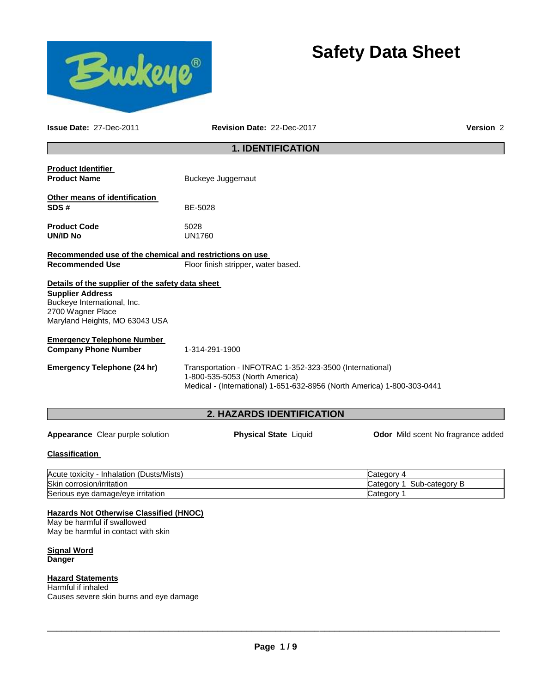



**Issue Date:** 27-Dec-2011 **Revision Date:** 22-Dec-2017 **Version** 2

# **1. IDENTIFICATION**

| <b>Product Identifier</b><br><b>Product Name</b>                                                              | Buckeye Juggernaut                                                                                                                                                    |  |  |
|---------------------------------------------------------------------------------------------------------------|-----------------------------------------------------------------------------------------------------------------------------------------------------------------------|--|--|
| Other means of identification<br>SDS#                                                                         | BE-5028                                                                                                                                                               |  |  |
| <b>Product Code</b><br>UN/ID No                                                                               | 5028<br><b>UN1760</b>                                                                                                                                                 |  |  |
| Recommended use of the chemical and restrictions on use                                                       |                                                                                                                                                                       |  |  |
| <b>Recommended Use</b>                                                                                        | Floor finish stripper, water based.                                                                                                                                   |  |  |
| Details of the supplier of the safety data sheet                                                              |                                                                                                                                                                       |  |  |
| <b>Supplier Address</b><br>Buckeye International, Inc.<br>2700 Wagner Place<br>Maryland Heights, MO 63043 USA |                                                                                                                                                                       |  |  |
| <b>Emergency Telephone Number</b>                                                                             |                                                                                                                                                                       |  |  |
| <b>Company Phone Number</b>                                                                                   | 1-314-291-1900                                                                                                                                                        |  |  |
| <b>Emergency Telephone (24 hr)</b>                                                                            | Transportation - INFOTRAC 1-352-323-3500 (International)<br>1-800-535-5053 (North America)<br>Medical - (International) 1-651-632-8956 (North America) 1-800-303-0441 |  |  |

# **2. HAZARDS IDENTIFICATION**

Appearance Clear purple solution **Physical State** Liquid **Odor Mild scent No fragrance added** 

#### **Classification**

| (Dusts/Mists)<br>Acute toxicity<br>Inhalation | ∵ategorvٽ                     |
|-----------------------------------------------|-------------------------------|
| Skin<br>corrosion/irritation                  | -category B<br>Sub<br>Categor |
| Serious eye damage/eye irritation             | ∵ategorش                      |

#### **Hazards Not Otherwise Classified (HNOC)**

May be harmful if swallowed May be harmful in contact with skin

#### **Signal Word Danger**

# **Hazard Statements**

Harmful if inhaled Causes severe skin burns and eye damage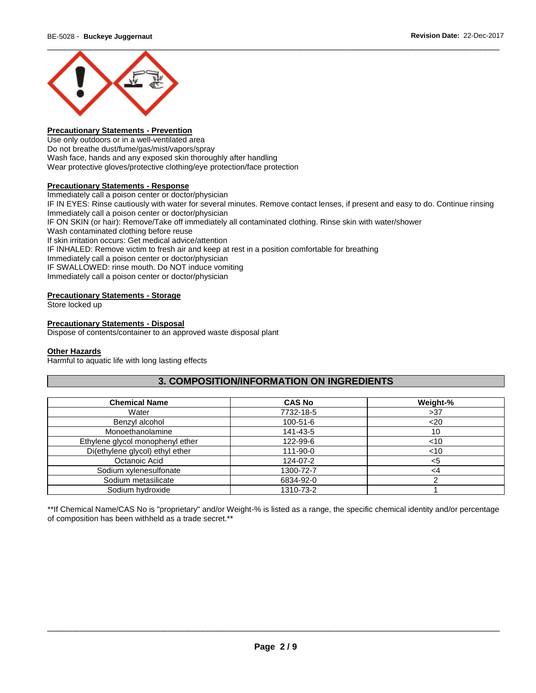

#### **Precautionary Statements - Prevention**

Use only outdoors or in a well-ventilated area Do not breathe dust/fume/gas/mist/vapors/spray Wash face, hands and any exposed skin thoroughly after handling Wear protective gloves/protective clothing/eye protection/face protection

#### **Precautionary Statements - Response**

Immediately call a poison center or doctor/physician IF IN EYES: Rinse cautiously with water for several minutes. Remove contact lenses, if present and easy to do. Continue rinsing Immediately call a poison center or doctor/physician IF ON SKIN (or hair): Remove/Take off immediately all contaminated clothing. Rinse skin with water/shower Wash contaminated clothing before reuse If skin irritation occurs: Get medical advice/attention IF INHALED: Remove victim to fresh air and keep at rest in a position comfortable for breathing Immediately call a poison center or doctor/physician IF SWALLOWED: rinse mouth. Do NOT induce vomiting Immediately call a poison center or doctor/physician

#### **Precautionary Statements - Storage**

Store locked up

#### **Precautionary Statements - Disposal**

Dispose of contents/container to an approved waste disposal plant

#### **Other Hazards**

Harmful to aquatic life with long lasting effects

# **3. COMPOSITION/INFORMATION ON INGREDIENTS**

| <b>Chemical Name</b>             | <b>CAS No</b>  | Weight-% |
|----------------------------------|----------------|----------|
| Water                            | 7732-18-5      | >37      |
| Benzyl alcohol                   | $100 - 51 - 6$ | $20$     |
| Monoethanolamine                 | 141-43-5       | 10       |
| Ethylene glycol monophenyl ether | 122-99-6       | ~10      |
| Di(ethylene glycol) ethyl ether  | 111-90-0       | $<$ 10   |
| Octanoic Acid                    | 124-07-2       | <5       |
| Sodium xylenesulfonate           | 1300-72-7      | <4       |
| Sodium metasilicate              | 6834-92-0      |          |
| Sodium hydroxide                 | 1310-73-2      |          |

\*\*If Chemical Name/CAS No is "proprietary" and/or Weight-% is listed as a range, the specific chemical identity and/or percentage of composition has been withheld as a trade secret.\*\*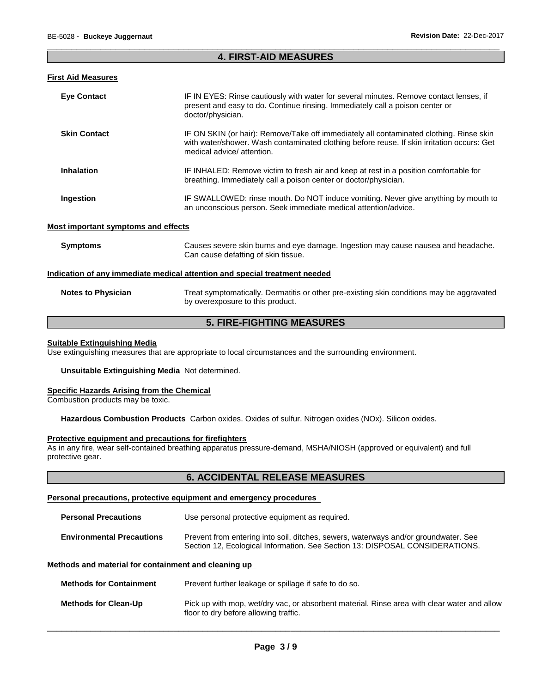## \_\_\_\_\_\_\_\_\_\_\_\_\_\_\_\_\_\_\_\_\_\_\_\_\_\_\_\_\_\_\_\_\_\_\_\_\_\_\_\_\_\_\_\_\_\_\_\_\_\_\_\_\_\_\_\_\_\_\_\_\_\_\_\_\_\_\_\_\_\_\_\_\_\_\_\_\_\_\_\_\_\_\_\_\_\_\_\_\_\_\_\_\_ **4. FIRST-AID MEASURES**

# **First Aid Measures**

| <b>Eye Contact</b>  | IF IN EYES: Rinse cautiously with water for several minutes. Remove contact lenses, if<br>present and easy to do. Continue rinsing. Immediately call a poison center or<br>doctor/physician.                       |
|---------------------|--------------------------------------------------------------------------------------------------------------------------------------------------------------------------------------------------------------------|
| <b>Skin Contact</b> | IF ON SKIN (or hair): Remove/Take off immediately all contaminated clothing. Rinse skin<br>with water/shower. Wash contaminated clothing before reuse. If skin irritation occurs: Get<br>medical advice/attention. |
| <b>Inhalation</b>   | IF INHALED: Remove victim to fresh air and keep at rest in a position comfortable for<br>breathing. Immediately call a poison center or doctor/physician.                                                          |
| Ingestion           | IF SWALLOWED: rinse mouth. Do NOT induce vomiting. Never give anything by mouth to<br>an unconscious person. Seek immediate medical attention/advice.                                                              |

# **Most important symptoms and effects**

| <b>Symptoms</b>           | Causes severe skin burns and eye damage. Ingestion may cause nausea and headache.<br>Can cause defatting of skin tissue.      |  |
|---------------------------|-------------------------------------------------------------------------------------------------------------------------------|--|
|                           | Indication of any immediate medical attention and special treatment needed                                                    |  |
| <b>Notes to Physician</b> | Treat symptomatically. Dermatitis or other pre-existing skin conditions may be aggravated<br>by overexposure to this product. |  |
| ------------------        |                                                                                                                               |  |

# **5. FIRE-FIGHTING MEASURES**

#### **Suitable Extinguishing Media**

Use extinguishing measures that are appropriate to local circumstances and the surrounding environment.

#### **Unsuitable Extinguishing Media** Not determined.

## **Specific Hazards Arising from the Chemical**

Combustion products may be toxic.

**Hazardous Combustion Products** Carbon oxides. Oxides of sulfur. Nitrogen oxides (NOx). Silicon oxides.

#### **Protective equipment and precautions for firefighters**

As in any fire, wear self-contained breathing apparatus pressure-demand, MSHA/NIOSH (approved or equivalent) and full protective gear.

# **6. ACCIDENTAL RELEASE MEASURES**

#### **Personal precautions, protective equipment and emergency procedures**

| <b>Personal Precautions</b>      | Use personal protective equipment as required.                                                                                                                      |
|----------------------------------|---------------------------------------------------------------------------------------------------------------------------------------------------------------------|
| <b>Environmental Precautions</b> | Prevent from entering into soil, ditches, sewers, waterways and/or groundwater. See<br>Section 12, Ecological Information. See Section 13: DISPOSAL CONSIDERATIONS. |

## **Methods and material for containment and cleaning up**

| <b>Methods for Containment</b> | Prevent further leakage or spillage if safe to do so.                                                                                |
|--------------------------------|--------------------------------------------------------------------------------------------------------------------------------------|
| <b>Methods for Clean-Up</b>    | Pick up with mop, wet/dry vac, or absorbent material. Rinse area with clear water and allow<br>floor to dry before allowing traffic. |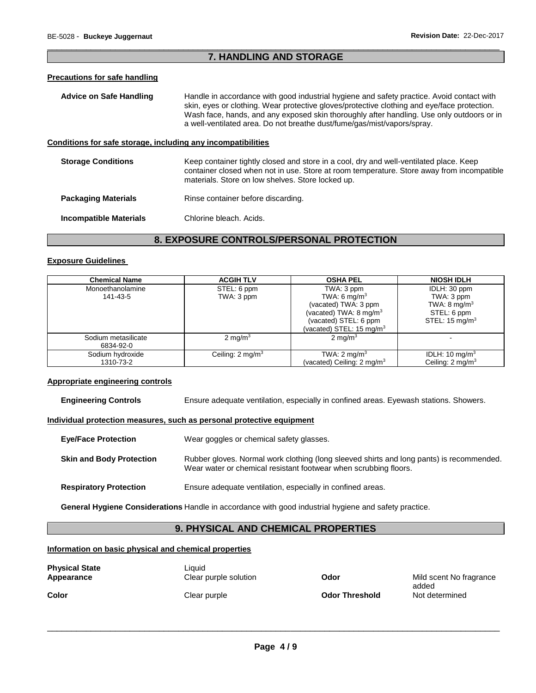# \_\_\_\_\_\_\_\_\_\_\_\_\_\_\_\_\_\_\_\_\_\_\_\_\_\_\_\_\_\_\_\_\_\_\_\_\_\_\_\_\_\_\_\_\_\_\_\_\_\_\_\_\_\_\_\_\_\_\_\_\_\_\_\_\_\_\_\_\_\_\_\_\_\_\_\_\_\_\_\_\_\_\_\_\_\_\_\_\_\_\_\_\_ **7. HANDLING AND STORAGE**

## **Precautions for safe handling**

| Advice on Safe Handling                                      | Handle in accordance with good industrial hygiene and safety practice. Avoid contact with<br>skin, eyes or clothing. Wear protective gloves/protective clothing and eye/face protection.<br>Wash face, hands, and any exposed skin thoroughly after handling. Use only outdoors or in<br>a well-ventilated area. Do not breathe dust/fume/gas/mist/vapors/spray. |  |
|--------------------------------------------------------------|------------------------------------------------------------------------------------------------------------------------------------------------------------------------------------------------------------------------------------------------------------------------------------------------------------------------------------------------------------------|--|
| Conditions for safe storage, including any incompatibilities |                                                                                                                                                                                                                                                                                                                                                                  |  |
| <b>Storage Conditions</b>                                    | Keep container tightly closed and store in a cool, dry and well-ventilated place. Keep<br>container closed when not in use. Store at room temperature. Store away from incompatible<br>materials. Store on low shelves. Store locked up.                                                                                                                         |  |
| <b>Packaging Materials</b>                                   | Rinse container before discarding.                                                                                                                                                                                                                                                                                                                               |  |
| <b>Incompatible Materials</b>                                | Chlorine bleach. Acids.                                                                                                                                                                                                                                                                                                                                          |  |

# **8. EXPOSURE CONTROLS/PERSONAL PROTECTION**

#### **Exposure Guidelines**

| <b>Chemical Name</b> | <b>ACGIH TLV</b>            | <b>OSHA PEL</b>                       | <b>NIOSH IDLH</b>          |
|----------------------|-----------------------------|---------------------------------------|----------------------------|
| Monoethanolamine     | STEL: 6 ppm                 | TWA: 3 ppm                            | IDLH: 30 ppm               |
| 141-43-5             | TWA: 3 ppm                  | TWA: 6 mg/m <sup>3</sup>              | TWA: 3 ppm                 |
|                      |                             | (vacated) TWA: 3 ppm                  | TWA: $8 \text{ mg/m}^3$    |
|                      |                             | (vacated) TWA: $8 \text{ mg/m}^3$     | STEL: 6 ppm                |
|                      |                             | (vacated) STEL: 6 ppm                 | STEL: $15 \text{ ma/m}^3$  |
|                      |                             | (vacated) STEL: 15 mg/m $3$           |                            |
| Sodium metasilicate  | $2 \text{ mg/m}^3$          | $2 \text{ mg/m}^3$                    |                            |
| 6834-92-0            |                             |                                       |                            |
| Sodium hydroxide     | Ceiling: $2 \text{ mg/m}^3$ | TWA: $2 \text{ mg/m}^3$               | IDLH: 10 mg/m <sup>3</sup> |
| 1310-73-2            |                             | (vacated) Ceiling: $2 \text{ mg/m}^3$ | Ceiling: $2 \text{mq/m}^3$ |

## **Appropriate engineering controls**

**Engineering Controls** Ensure adequate ventilation, especially in confined areas. Eyewash stations. Showers.

## **Individual protection measures, such as personal protective equipment**

| <b>Eye/Face Protection</b>      | Wear goggles or chemical safety glasses.                                                                                                                     |
|---------------------------------|--------------------------------------------------------------------------------------------------------------------------------------------------------------|
| <b>Skin and Body Protection</b> | Rubber gloves. Normal work clothing (long sleeved shirts and long pants) is recommended.<br>Wear water or chemical resistant footwear when scrubbing floors. |
| <b>Respiratory Protection</b>   | Ensure adequate ventilation, especially in confined areas.                                                                                                   |

**General Hygiene Considerations** Handle in accordance with good industrial hygiene and safety practice.

# **9. PHYSICAL AND CHEMICAL PROPERTIES**

## **Information on basic physical and chemical properties**

| <b>Physical State</b><br>Appearance | Liauid<br>Clear purple solution | Odor                  | Mild scent No fragrance |
|-------------------------------------|---------------------------------|-----------------------|-------------------------|
| Color                               | Clear purple                    | <b>Odor Threshold</b> | added<br>Not determined |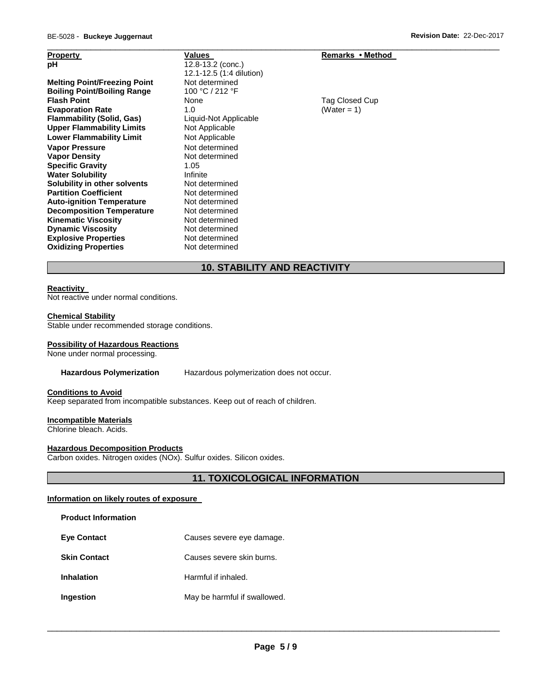| <b>Property</b>                     | Values                   | Remarks • Method |
|-------------------------------------|--------------------------|------------------|
| рH                                  | 12.8-13.2 (conc.)        |                  |
|                                     | 12.1-12.5 (1:4 dilution) |                  |
| <b>Melting Point/Freezing Point</b> | Not determined           |                  |
| <b>Boiling Point/Boiling Range</b>  | 100 °C / 212 °F          |                  |
| <b>Flash Point</b>                  | None                     | Tag Closed Cup   |
| <b>Evaporation Rate</b>             | 1.0                      | (Water = 1)      |
| <b>Flammability (Solid, Gas)</b>    | Liquid-Not Applicable    |                  |
| <b>Upper Flammability Limits</b>    | Not Applicable           |                  |
| <b>Lower Flammability Limit</b>     | Not Applicable           |                  |
| <b>Vapor Pressure</b>               | Not determined           |                  |
| <b>Vapor Density</b>                | Not determined           |                  |
| <b>Specific Gravity</b>             | 1.05                     |                  |
| <b>Water Solubility</b>             | Infinite                 |                  |
| Solubility in other solvents        | Not determined           |                  |
| <b>Partition Coefficient</b>        | Not determined           |                  |
| <b>Auto-ignition Temperature</b>    | Not determined           |                  |
| <b>Decomposition Temperature</b>    | Not determined           |                  |
| <b>Kinematic Viscosity</b>          | Not determined           |                  |
| <b>Dynamic Viscosity</b>            | Not determined           |                  |
| <b>Explosive Properties</b>         | Not determined           |                  |
| <b>Oxidizing Properties</b>         | Not determined           |                  |

# **10. STABILITY AND REACTIVITY**

\_\_\_\_\_\_\_\_\_\_\_\_\_\_\_\_\_\_\_\_\_\_\_\_\_\_\_\_\_\_\_\_\_\_\_\_\_\_\_\_\_\_\_\_\_\_\_\_\_\_\_\_\_\_\_\_\_\_\_\_\_\_\_\_\_\_\_\_\_\_\_\_\_\_\_\_\_\_\_\_\_\_\_\_\_\_\_\_\_\_\_\_\_

## **Reactivity**

Not reactive under normal conditions.

#### **Chemical Stability**

Stable under recommended storage conditions.

#### **Possibility of Hazardous Reactions**

None under normal processing.

#### **Hazardous Polymerization** Hazardous polymerization does not occur.

# **Conditions to Avoid**

Keep separated from incompatible substances. Keep out of reach of children.

#### **Incompatible Materials**

Chlorine bleach. Acids.

## **Hazardous Decomposition Products**

Carbon oxides. Nitrogen oxides (NOx). Sulfur oxides. Silicon oxides.

# **11. TOXICOLOGICAL INFORMATION**

#### **Information on likely routes of exposure**

#### **Product Information**

| <b>Eye Contact</b> | Causes severe eye damage. |
|--------------------|---------------------------|
|--------------------|---------------------------|

- **Skin Contact Causes severe skin burns.**
- **Inhalation Harmful if inhaled.**
- **Ingestion May be harmful if swallowed.**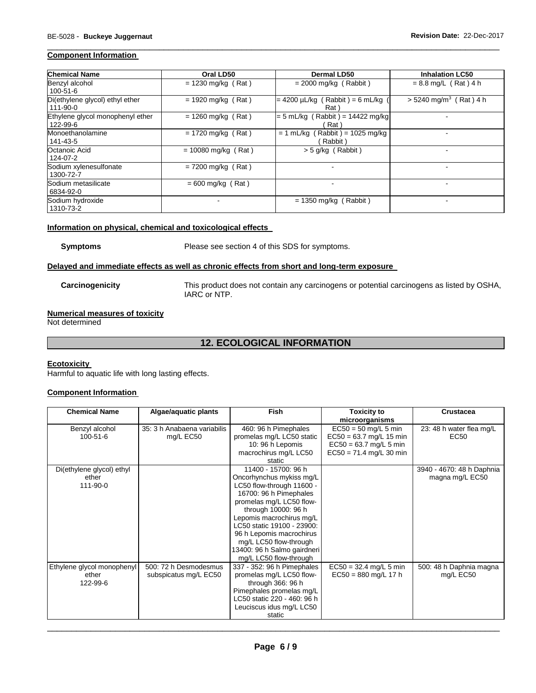# **Component Information**

| <b>Chemical Name</b>                         | Oral LD50             | <b>Dermal LD50</b>                               | <b>Inhalation LC50</b>               |
|----------------------------------------------|-----------------------|--------------------------------------------------|--------------------------------------|
| Benzyl alcohol<br>$100 - 51 - 6$             | $= 1230$ mg/kg (Rat)  | $= 2000$ mg/kg (Rabbit)                          | $= 8.8$ mg/L (Rat) 4 h               |
| Di(ethylene glycol) ethyl ether<br>111-90-0  | $= 1920$ mg/kg (Rat)  | $= 4200 \mu L/kg$ (Rabbit) = 6 mL/kg<br>Rat \    | $> 5240$ mg/m <sup>3</sup> (Rat) 4 h |
| Ethylene glycol monophenyl ether<br>122-99-6 | $= 1260$ mg/kg (Rat)  | (Rabbit) = 14422 mg/kg<br>$= 5$ mL/kg (<br>Rat \ |                                      |
| Monoethanolamine<br>141-43-5                 | $= 1720$ mg/kg (Rat)  | $= 1$ mL/kg (Rabbit) = 1025 mg/kg<br>Rabbit)     |                                      |
| Octanoic Acid<br>124-07-2                    | $= 10080$ mg/kg (Rat) | $>$ 5 g/kg (Rabbit)                              | -                                    |
| Sodium xylenesulfonate<br>1300-72-7          | $= 7200$ mg/kg (Rat)  |                                                  |                                      |
| Sodium metasilicate<br>6834-92-0             | $= 600$ mg/kg (Rat)   |                                                  |                                      |
| Sodium hydroxide<br>1310-73-2                |                       | (Rabbit)<br>$= 1350$ mg/kg (                     |                                      |

\_\_\_\_\_\_\_\_\_\_\_\_\_\_\_\_\_\_\_\_\_\_\_\_\_\_\_\_\_\_\_\_\_\_\_\_\_\_\_\_\_\_\_\_\_\_\_\_\_\_\_\_\_\_\_\_\_\_\_\_\_\_\_\_\_\_\_\_\_\_\_\_\_\_\_\_\_\_\_\_\_\_\_\_\_\_\_\_\_\_\_\_\_

# **Information on physical, chemical and toxicological effects**

**Symptoms** Please see section 4 of this SDS for symptoms.

#### **Delayed and immediate effects as well as chronic effects from short and long-term exposure**

**Carcinogenicity** This product does not contain any carcinogens or potential carcinogens as listed by OSHA, IARC or NTP.

# **Numerical measures of toxicity**

Not determined

# **12. ECOLOGICAL INFORMATION**

#### **Ecotoxicity**

Harmful to aquatic life with long lasting effects.

## **Component Information**

| <b>Chemical Name</b>       | Algae/aquatic plants        | <b>Fish</b>                 | <b>Toxicity to</b>        | <b>Crustacea</b>          |
|----------------------------|-----------------------------|-----------------------------|---------------------------|---------------------------|
|                            |                             |                             | microorganisms            |                           |
| Benzyl alcohol             | 35: 3 h Anabaena variabilis | 460: 96 h Pimephales        | $EC50 = 50$ mg/L 5 min    | 23: 48 h water flea mg/L  |
| $100 - 51 - 6$             | mg/L EC50                   | promelas mg/L LC50 static   | $EC50 = 63.7$ mg/L 15 min | EC50                      |
|                            |                             | 10: 96 h Lepomis            | $EC50 = 63.7$ mg/L 5 min  |                           |
|                            |                             | macrochirus mg/L LC50       | $EC50 = 71.4$ mg/L 30 min |                           |
|                            |                             | static                      |                           |                           |
| Di(ethylene glycol) ethyl  |                             | 11400 - 15700: 96 h         |                           | 3940 - 4670: 48 h Daphnia |
| ether                      |                             | Oncorhynchus mykiss mg/L    |                           | magna mg/L EC50           |
| 111-90-0                   |                             | LC50 flow-through 11600 -   |                           |                           |
|                            |                             | 16700: 96 h Pimephales      |                           |                           |
|                            |                             | promelas mg/L LC50 flow-    |                           |                           |
|                            |                             | through 10000: 96 h         |                           |                           |
|                            |                             | Lepomis macrochirus mg/L    |                           |                           |
|                            |                             | LC50 static 19100 - 23900:  |                           |                           |
|                            |                             | 96 h Lepomis macrochirus    |                           |                           |
|                            |                             | mg/L LC50 flow-through      |                           |                           |
|                            |                             | 13400: 96 h Salmo gairdneri |                           |                           |
|                            |                             | mg/L LC50 flow-through      |                           |                           |
| Ethylene glycol monophenyl | 500: 72 h Desmodesmus       | 337 - 352: 96 h Pimephales  | $EC50 = 32.4$ mg/L 5 min  | 500: 48 h Daphnia magna   |
| ether                      | subspicatus mg/L EC50       | promelas mg/L LC50 flow-    | $EC50 = 880$ mg/L 17 h    | mg/L EC50                 |
| 122-99-6                   |                             | through 366: 96 h           |                           |                           |
|                            |                             | Pimephales promelas mg/L    |                           |                           |
|                            |                             | LC50 static 220 - 460: 96 h |                           |                           |
|                            |                             | Leuciscus idus mg/L LC50    |                           |                           |
|                            |                             | static                      |                           |                           |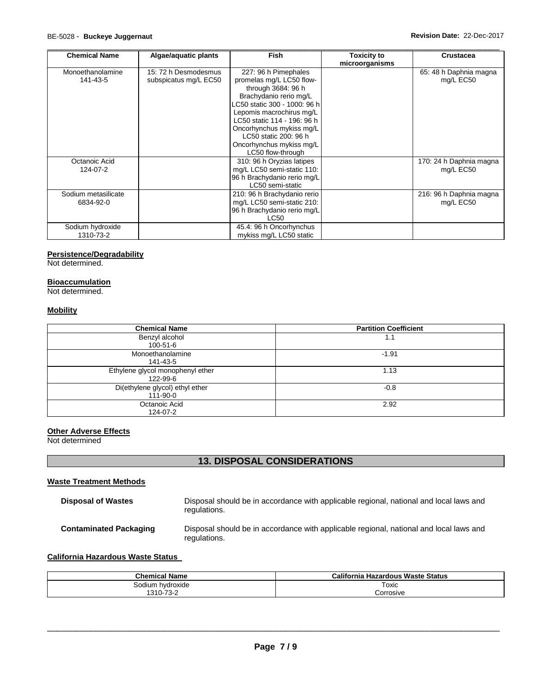| <b>Chemical Name</b>             | Algae/aquatic plants                          | <b>Fish</b>                                                                                                                                                                                                                                                                                       | <b>Toxicity to</b><br>microorganisms | <b>Crustacea</b>                     |
|----------------------------------|-----------------------------------------------|---------------------------------------------------------------------------------------------------------------------------------------------------------------------------------------------------------------------------------------------------------------------------------------------------|--------------------------------------|--------------------------------------|
| Monoethanolamine<br>141-43-5     | 15: 72 h Desmodesmus<br>subspicatus mg/L EC50 | 227: 96 h Pimephales<br>promelas mg/L LC50 flow-<br>through 3684: 96 h<br>Brachydanio rerio mg/L<br>LC50 static 300 - 1000: 96 h<br>Lepomis macrochirus mg/L<br>LC50 static 114 - 196: 96 h<br>Oncorhynchus mykiss mg/L<br>LC50 static 200: 96 h<br>Oncorhynchus mykiss mg/L<br>LC50 flow-through |                                      | 65: 48 h Daphnia magna<br>mg/L EC50  |
| Octanoic Acid<br>124-07-2        |                                               | 310: 96 h Oryzias latipes<br>mg/L LC50 semi-static 110:<br>96 h Brachydanio rerio mg/L<br>LC50 semi-static                                                                                                                                                                                        |                                      | 170: 24 h Daphnia magna<br>mg/L EC50 |
| Sodium metasilicate<br>6834-92-0 |                                               | 210: 96 h Brachydanio rerio<br>mg/L LC50 semi-static 210:<br>96 h Brachydanio rerio mg/L<br>LC50                                                                                                                                                                                                  |                                      | 216: 96 h Daphnia magna<br>mg/L EC50 |
| Sodium hydroxide<br>1310-73-2    |                                               | 45.4: 96 h Oncorhynchus<br>mykiss mg/L LC50 static                                                                                                                                                                                                                                                |                                      |                                      |

#### **Persistence/Degradability**

Not determined.

# **Bioaccumulation**

Not determined.

# **Mobility**

| <b>Chemical Name</b>                         | <b>Partition Coefficient</b> |
|----------------------------------------------|------------------------------|
| Benzyl alcohol<br>100-51-6                   | 1.1                          |
| Monoethanolamine<br>141-43-5                 | $-1.91$                      |
| Ethylene glycol monophenyl ether<br>122-99-6 | 1.13                         |
| Di(ethylene glycol) ethyl ether<br>111-90-0  | $-0.8$                       |
| Octanoic Acid<br>124-07-2                    | 2.92                         |

#### **Other Adverse Effects**

Not determined

# **13. DISPOSAL CONSIDERATIONS**

# **Waste Treatment Methods**

| <b>Disposal of Wastes</b>     | Disposal should be in accordance with applicable regional, national and local laws and<br>regulations. |
|-------------------------------|--------------------------------------------------------------------------------------------------------|
| <b>Contaminated Packaging</b> | Disposal should be in accordance with applicable regional, national and local laws and<br>regulations. |

## **California Hazardous Waste Status**

| <b>Chemical Name</b> | <b>California Hazardous Waste Status</b> |
|----------------------|------------------------------------------|
| Sodium hvdroxide     | Toxic                                    |
| 1310-73-2            | Corrosive                                |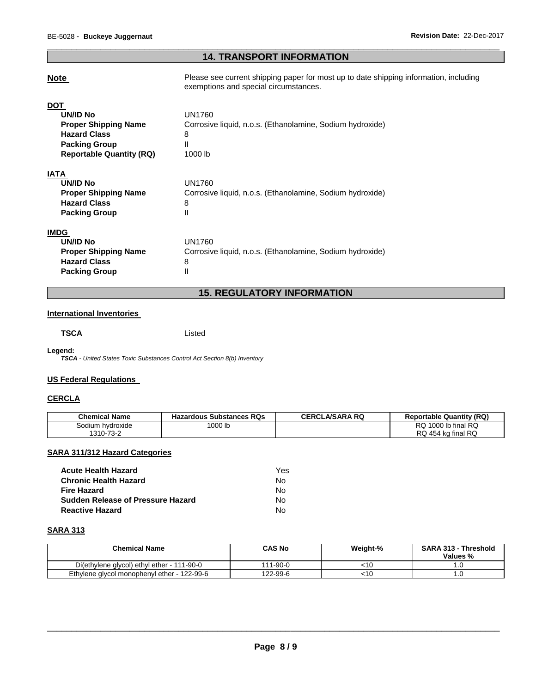# \_\_\_\_\_\_\_\_\_\_\_\_\_\_\_\_\_\_\_\_\_\_\_\_\_\_\_\_\_\_\_\_\_\_\_\_\_\_\_\_\_\_\_\_\_\_\_\_\_\_\_\_\_\_\_\_\_\_\_\_\_\_\_\_\_\_\_\_\_\_\_\_\_\_\_\_\_\_\_\_\_\_\_\_\_\_\_\_\_\_\_\_\_ **14. TRANSPORT INFORMATION**

| <b>Note</b>                     | Please see current shipping paper for most up to date shipping information, including<br>exemptions and special circumstances. |
|---------------------------------|--------------------------------------------------------------------------------------------------------------------------------|
| DOT                             |                                                                                                                                |
| <b>UN/ID No</b>                 | UN1760                                                                                                                         |
| <b>Proper Shipping Name</b>     | Corrosive liquid, n.o.s. (Ethanolamine, Sodium hydroxide)                                                                      |
| <b>Hazard Class</b>             | 8                                                                                                                              |
| <b>Packing Group</b>            | Ш                                                                                                                              |
| <b>Reportable Quantity (RQ)</b> | 1000 lb                                                                                                                        |
| IATA                            |                                                                                                                                |
| <b>UN/ID No</b>                 | UN1760                                                                                                                         |
| <b>Proper Shipping Name</b>     | Corrosive liquid, n.o.s. (Ethanolamine, Sodium hydroxide)                                                                      |
| <b>Hazard Class</b>             | 8                                                                                                                              |
| <b>Packing Group</b>            | Ш                                                                                                                              |
| <b>IMDG</b>                     |                                                                                                                                |
| UN/ID No                        | UN1760                                                                                                                         |
| <b>Proper Shipping Name</b>     | Corrosive liquid, n.o.s. (Ethanolamine, Sodium hydroxide)                                                                      |
| <b>Hazard Class</b>             | 8                                                                                                                              |
| <b>Packing Group</b>            | Ш                                                                                                                              |

# **15. REGULATORY INFORMATION**

## **International Inventories**

**TSCA** Listed

**Legend:** 

*TSCA - United States Toxic Substances Control Act Section 8(b) Inventory* 

## **US Federal Regulations**

## **CERCLA**

| <b>Chemical Name</b> | <b>Hazardous Substances RQs</b> | <b>CERCLA/SARA RQ</b> | <b>Reportable Quantity (RQ)</b> |
|----------------------|---------------------------------|-----------------------|---------------------------------|
| Sodium hydroxide     | 000 lb                          |                       | RQ 1000 lb final RQ             |
| 1310-73-2            |                                 |                       | RQ 454 kg final RQ              |

# **SARA 311/312 Hazard Categories**

| Acute Health Hazard               | Yes |
|-----------------------------------|-----|
| Chronic Health Hazard             | N٥  |
| Fire Hazard                       | N٥  |
| Sudden Release of Pressure Hazard | N٥  |
| Reactive Hazard                   | N٥  |

# **SARA 313**

| <b>Chemical Name</b>                        | <b>CAS No</b> | Weight-% | <b>SARA 313 - Threshold</b><br>Values % |
|---------------------------------------------|---------------|----------|-----------------------------------------|
| Di(ethylene glycol) ethyl ether - 111-90-0  | 111-90-0      | <10      |                                         |
| Ethylene glycol monophenyl ether - 122-99-6 | 122-99-6      | <10      | í.U                                     |